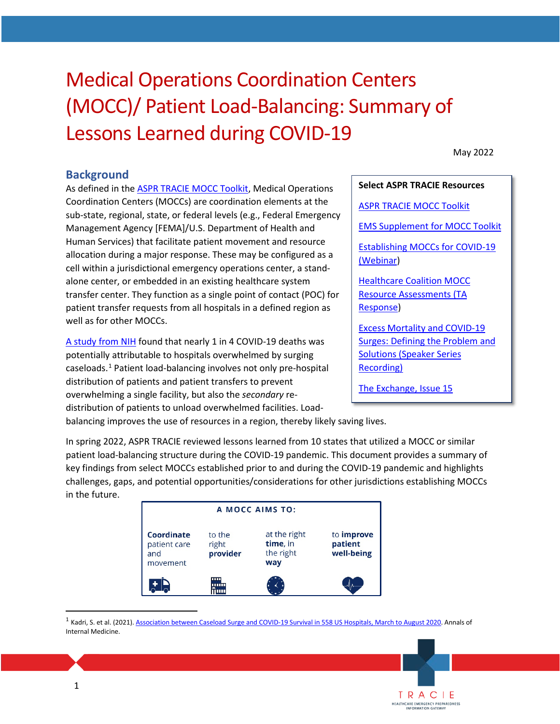# Medical Operations Coordination Centers (MOCC)/ Patient Load-Balancing: Summary of Lessons Learned during COVID-19

May 2022

#### **Background**

 Human Services) that facilitate patient movement and resource allocation during a major response. These may be configured as a well as for other MOCCs. As defined in the [ASPR TRACIE MOCC Toolkit,](https://files.asprtracie.hhs.gov/documents/fema-mocc-toolkit.pdf) Medical Operations Coordination Centers (MOCCs) are coordination elements at the sub-state, regional, state, or federal levels (e.g., Federal Emergency Management Agency [FEMA]/U.S. Department of Health and cell within a jurisdictional emergency operations center, a standalone center, or embedded in an existing healthcare system transfer center. They function as a single point of contact (POC) for patient transfer requests from all hospitals in a defined region as As defined in the ASPR TRACIE MOCC Torolkit, Medical Operations<br>
Solution Certors (MOCCS) are coordination elements at the<br>
sub-state, regional, state, or federal levels (e.g., Federal Emergency<br>
Management Agency [FEMA]/U

 distribution of patients and patient transfers to prevent [A study from NIH](https://pubmed.ncbi.nlm.nih.gov/34224257/) found that nearly 1 in 4 COVID-19 deaths was potentially attributable to hospitals overwhelmed by surging caseloads.[1](#page-0-0) Patient load-balancing involves not only pre-hospital overwhelming a single facility, but also the *secondary* redistribution of patients to unload overwhelmed facilities. Load-

[ASPR TRACIE MOCC Toolkit](https://files.asprtracie.hhs.gov/documents/fema-mocc-toolkit.pdf)  [EMS Supplement for MOCC Toolkit](https://www.ems.gov/pdf/Federal_Guidance_and_Resources/Operations/EMS_Supplement_for_the_Medical_Operations_Coordination_Cells_Tool_Kit.pdf)  [Establishing MOCCs for COVID-19](https://files.asprtracie.hhs.gov/documents/aspr-tracie-mocc-webinar--4-24-20-final-slides.pdf)  [\(Webinar\)](https://files.asprtracie.hhs.gov/documents/aspr-tracie-mocc-webinar--4-24-20-final-slides.pdf) [Healthcare Coalition MOCC](https://files.asprtracie.hhs.gov/documents/aspr-tracie-ta--hcc-mocc-resource-assessment-survey.pdf) 

[Resource Assessments \(TA](https://files.asprtracie.hhs.gov/documents/aspr-tracie-ta--hcc-mocc-resource-assessment-survey.pdf)  [Response\)](https://files.asprtracie.hhs.gov/documents/aspr-tracie-ta--hcc-mocc-resource-assessment-survey.pdf)

[Excess Mortality and COVID-19](https://files.asprtracie.hhs.gov/documents/excess-mortality-and-covid-19-surges-ppt.pdf)  [Surges: Defining the Problem and](https://files.asprtracie.hhs.gov/documents/excess-mortality-and-covid-19-surges-ppt.pdf)  [Solutions \(Speaker Series](https://files.asprtracie.hhs.gov/documents/excess-mortality-and-covid-19-surges-ppt.pdf)  [Recording\)](https://files.asprtracie.hhs.gov/documents/excess-mortality-and-covid-19-surges-ppt.pdf) 

TRACIE<br>HEALTHCARE EMERGENCY PREPAREDNESS

[The Exchange, Issue 15](https://files.asprtracie.hhs.gov/documents/aspr-tracie-the-exchange-issue15.pdf) 

balancing improves the use of resources in a region, thereby likely saving lives.

 In spring 2022, ASPR TRACIE reviewed lessons learned from 10 states that utilized a MOCC or similar in the future. patient load-balancing structure during the COVID-19 pandemic. This document provides a summary of key findings from select MOCCs established prior to and during the COVID-19 pandemic and highlights challenges, gaps, and potential opportunities/considerations for other jurisdictions establishing MOCCs

| A MOCC AIMS TO:                               |                             |                                              |                                            |
|-----------------------------------------------|-----------------------------|----------------------------------------------|--------------------------------------------|
| Coordinate<br>patient care<br>and<br>movement | to the<br>right<br>provider | at the right<br>time, in<br>the right<br>way | to <i>improve</i><br>patient<br>well-being |
|                                               | ш<br>111111<br>шш           |                                              |                                            |

<span id="page-0-0"></span><sup>1</sup> Kadri, S. et al. (2021)[. Association between Caseload Surge and COVID-19 Survival in 558 US Hospitals, March to August 2020.](https://www.acpjournals.org/doi/pdf/10.7326/M21-1213) Annals of Internal Medicine.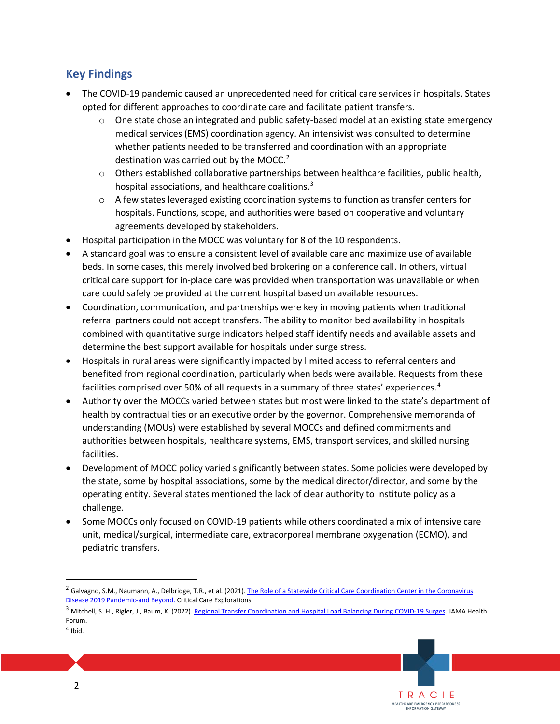### **Key Findings**

- The COVID-19 pandemic caused an unprecedented need for critical care services in hospitals. States opted for different approaches to coordinate care and facilitate patient transfers.
	- $\circ$  One state chose an integrated and public safety-based model at an existing state emergency medical services (EMS) coordination agency. An intensivist was consulted to determine whether patients needed to be transferred and coordination with an appropriate destination was carried out by the MOCC.<sup>2</sup>
	- o Others established collaborative partnerships between healthcare facilities, public health, hospital associations, and healthcare coalitions.<sup>3</sup>
	- hospitals. Functions, scope, and authorities were based on cooperative and voluntary  $\circ$  A few states leveraged existing coordination systems to function as transfer centers for agreements developed by stakeholders.
- Hospital participation in the MOCC was voluntary for 8 of the 10 respondents.
- beds. In some cases, this merely involved bed brokering on a conference call. In others, virtual • A standard goal was to ensure a consistent level of available care and maximize use of available critical care support for in-place care was provided when transportation was unavailable or when care could safely be provided at the current hospital based on available resources.
- referral partners could not accept transfers. The ability to monitor bed availability in hospitals • Coordination, communication, and partnerships were key in moving patients when traditional combined with quantitative surge indicators helped staff identify needs and available assets and determine the best support available for hospitals under surge stress.
- • Hospitals in rural areas were significantly impacted by limited access to referral centers and benefited from regional coordination, particularly when beds were available. Requests from these facilities comprised over 50% of all requests in a summary of three states' experiences. [4](#page-1-2)
- • Authority over the MOCCs varied between states but most were linked to the state's department of understanding (MOUs) were established by several MOCCs and defined commitments and health by contractual ties or an executive order by the governor. Comprehensive memoranda of authorities between hospitals, healthcare systems, EMS, transport services, and skilled nursing facilities.
- operating entity. Several states mentioned the lack of clear authority to institute policy as a • Development of MOCC policy varied significantly between states. Some policies were developed by the state, some by hospital associations, some by the medical director/director, and some by the challenge.
- • Some MOCCs only focused on COVID-19 patients while others coordinated a mix of intensive care unit, medical/surgical, intermediate care, extracorporeal membrane oxygenation (ECMO), and pediatric transfers.



<span id="page-1-0"></span><sup>&</sup>lt;sup>2</sup> Galvagno, S.M., Naumann, A., Delbridge, T.R., et al. (2021). The Role of a Statewide Critical Care Coordination Center in the Coronavirus [Disease 2019 Pandemic-and Beyond. C](https://www.ncbi.nlm.nih.gov/pmc/articles/PMC8556043/)ritical Care Explorations.

<span id="page-1-1"></span><sup>&</sup>lt;sup>3</sup> Mitchell, S. H., Rigler, J., Baum, K. (2022)[. Regional Transfer Coordination and Hospital Load Balancing During COVID-19 Surges.](https://jamanetwork.com/journals/jama-health-forum/fullarticle/2788933) JAMA Health Forum.

<span id="page-1-2"></span> $<sup>4</sup>$  Ibid.</sup>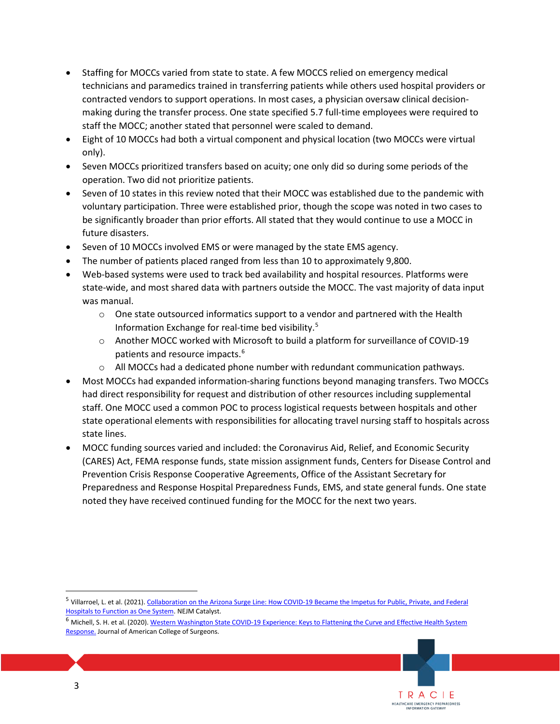- • Staffing for MOCCs varied from state to state. A few MOCCS relied on emergency medical contracted vendors to support operations. In most cases, a physician oversaw clinical decisiontechnicians and paramedics trained in transferring patients while others used hospital providers or making during the transfer process. One state specified 5.7 full-time employees were required to staff the MOCC; another stated that personnel were scaled to demand.
- • Eight of 10 MOCCs had both a virtual component and physical location (two MOCCs were virtual only).
- • Seven MOCCs prioritized transfers based on acuity; one only did so during some periods of the operation. Two did not prioritize patients.
- voluntary participation. Three were established prior, though the scope was noted in two cases to be significantly broader than prior efforts. All stated that they would continue to use a MOCC in • Seven of 10 states in this review noted that their MOCC was established due to the pandemic with future disasters.
- Seven of 10 MOCCs involved EMS or were managed by the state EMS agency.
- The number of patients placed ranged from less than 10 to approximately 9,800.
- • Web-based systems were used to track bed availability and hospital resources. Platforms were state-wide, and most shared data with partners outside the MOCC. The vast majority of data input was manual.
	- Information Exchange for real-time bed visibility. [5](#page-2-0)  $\circ$  One state outsourced informatics support to a vendor and partnered with the Health
	- o Another MOCC worked with Microsoft to build a platform for surveillance of COVID-19 patients and resource impacts.[6](#page-2-1)
	- $\circ$  All MOCCs had a dedicated phone number with redundant communication pathways.
- • Most MOCCs had expanded information-sharing functions beyond managing transfers. Two MOCCs staff. One MOCC used a common POC to process logistical requests between hospitals and other state operational elements with responsibilities for allocating travel nursing staff to hospitals across had direct responsibility for request and distribution of other resources including supplemental state lines.
- (CARES) Act, FEMA response funds, state mission assignment funds, Centers for Disease Control and Prevention Crisis Response Cooperative Agreements, Office of the Assistant Secretary for noted they have received continued funding for the MOCC for the next two years. • MOCC funding sources varied and included: the Coronavirus Aid, Relief, and Economic Security Preparedness and Response Hospital Preparedness Funds, EMS, and state general funds. One state

<span id="page-2-1"></span><sup>&</sup>lt;sup>6</sup> Michell, S. H. et al. (2020). Western Washington State COVID-19 Experience: Keys to Flattening the Curve and Effective Health System [Response. J](https://pubmed.ncbi.nlm.nih.gov/32561446/)ournal of American College of Surgeons.



<span id="page-2-0"></span><sup>&</sup>lt;sup>5</sup> Villarroel, L. et al. (2021). Collaboration on the Arizona Surge Line: How COVID-19 Became the Impetus for Public, Private, and Federal [Hospitals to Function as One System.](https://catalyst.nejm.org/doi/full/10.1056/CAT.20.0595) NEJM Catalyst.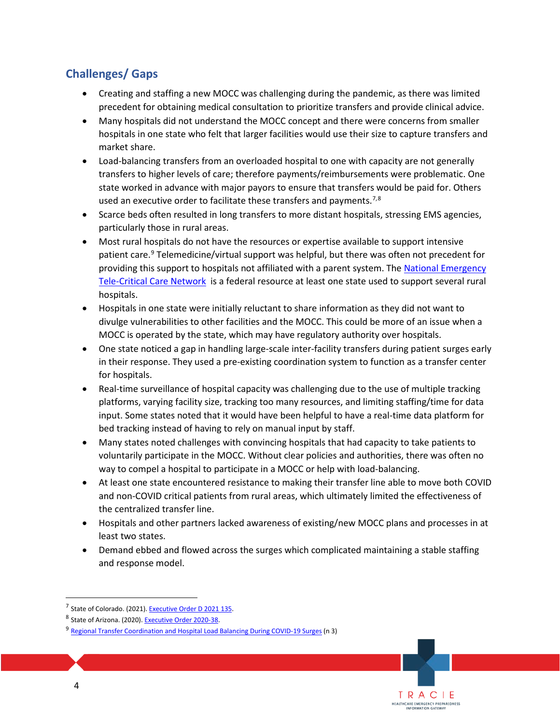## **Challenges/ Gaps**

- • Creating and staffing a new MOCC was challenging during the pandemic, as there was limited precedent for obtaining medical consultation to prioritize transfers and provide clinical advice.
- hospitals in one state who felt that larger facilities would use their size to capture transfers and • Many hospitals did not understand the MOCC concept and there were concerns from smaller market share.
- • Load-balancing transfers from an overloaded hospital to one with capacity are not generally transfers to higher levels of care; therefore payments/reimbursements were problematic. One state worked in advance with major payors to ensure that transfers would be paid for. Others used an executive order to facilitate these transfers and payments.<sup>7,8</sup>
- • Scarce beds often resulted in long transfers to more distant hospitals, stressing EMS agencies, particularly those in rural areas.
- • Most rural hospitals do not have the resources or expertise available to support intensive providing this support to hospitals not affiliated with a parent system. The National Emergency [Tele-Critical Care Network](https://www.tatrc.org/netccn/index.html) is a federal resource at least one state used to support several rural patient care.<sup>9</sup> Telemedicine/virtual support was helpful, but there was often not precedent for hospitals.
- • Hospitals in one state were initially reluctant to share information as they did not want to divulge vulnerabilities to other facilities and the MOCC. This could be more of an issue when a MOCC is operated by the state, which may have regulatory authority over hospitals.
- in their response. They used a pre-existing coordination system to function as a transfer center • One state noticed a gap in handling large-scale inter-facility transfers during patient surges early for hospitals.
- platforms, varying facility size, tracking too many resources, and limiting staffing/time for data bed tracking instead of having to rely on manual input by staff. • Real-time surveillance of hospital capacity was challenging due to the use of multiple tracking input. Some states noted that it would have been helpful to have a real-time data platform for
- voluntarily participate in the MOCC. Without clear policies and authorities, there was often no • Many states noted challenges with convincing hospitals that had capacity to take patients to way to compel a hospital to participate in a MOCC or help with load-balancing.
- At least one state encountered resistance to making their transfer line able to move both COVID and non-COVID critical patients from rural areas, which ultimately limited the effectiveness of the centralized transfer line.
- • Hospitals and other partners lacked awareness of existing/new MOCC plans and processes in at least two states.
- Demand ebbed and flowed across the surges which complicated maintaining a stable staffing and response model.

<sup>&</sup>lt;sup>7</sup> State of Colorado. (2021). Executive Order D 2021 135.

<span id="page-3-1"></span><span id="page-3-0"></span><sup>8</sup> State of Arizona. (2020). Executive Order 2020-38.

<span id="page-3-2"></span>[<sup>9</sup> Regional Transfer Coordination and Hospital Load Balancing During COVID-19 Surges \(](https://jamanetwork.com/journals/jama-health-forum/fullarticle/2788933)n 3)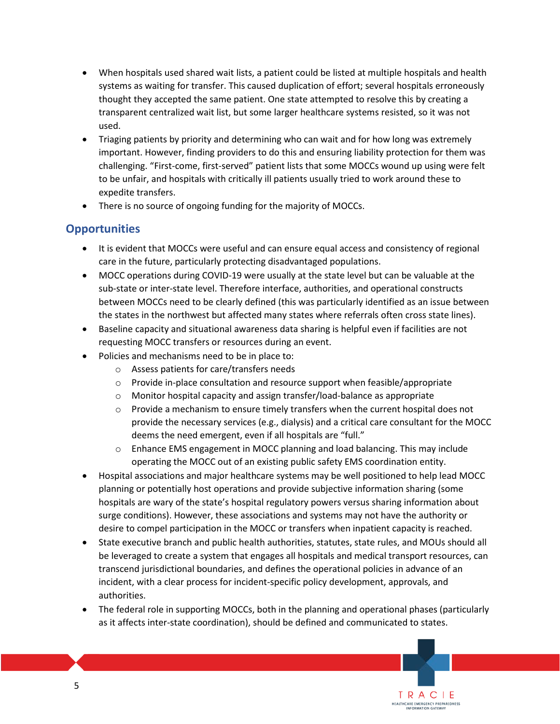- • When hospitals used shared wait lists, a patient could be listed at multiple hospitals and health transparent centralized wait list, but some larger healthcare systems resisted, so it was not systems as waiting for transfer. This caused duplication of effort; several hospitals erroneously thought they accepted the same patient. One state attempted to resolve this by creating a used.
- Triaging patients by priority and determining who can wait and for how long was extremely important. However, finding providers to do this and ensuring liability protection for them was challenging. "First-come, first-served" patient lists that some MOCCs wound up using were felt to be unfair, and hospitals with critically ill patients usually tried to work around these to expedite transfers.
- There is no source of ongoing funding for the majority of MOCCs.

### **Opportunities**

- • It is evident that MOCCs were useful and can ensure equal access and consistency of regional care in the future, particularly protecting disadvantaged populations.
- between MOCCs need to be clearly defined (this was particularly identified as an issue between • MOCC operations during COVID-19 were usually at the state level but can be valuable at the sub-state or inter-state level. Therefore interface, authorities, and operational constructs the states in the northwest but affected many states where referrals often cross state lines).
- Baseline capacity and situational awareness data sharing is helpful even if facilities are not requesting MOCC transfers or resources during an event.
- Policies and mechanisms need to be in place to:
	- o Assess patients for care/transfers needs
	- o Provide in-place consultation and resource support when feasible/appropriate
	- o Monitor hospital capacity and assign transfer/load-balance as appropriate
	- $\circ$  Provide a mechanism to ensure timely transfers when the current hospital does not provide the necessary services (e.g., dialysis) and a critical care consultant for the MOCC deems the need emergent, even if all hospitals are "full."
	- o Enhance EMS engagement in MOCC planning and load balancing. This may include operating the MOCC out of an existing public safety EMS coordination entity.
- • Hospital associations and major healthcare systems may be well positioned to help lead MOCC planning or potentially host operations and provide subjective information sharing (some hospitals are wary of the state's hospital regulatory powers versus sharing information about surge conditions). However, these associations and systems may not have the authority or desire to compel participation in the MOCC or transfers when inpatient capacity is reached.
- transcend jurisdictional boundaries, and defines the operational policies in advance of an • State executive branch and public health authorities, statutes, state rules, and MOUs should all be leveraged to create a system that engages all hospitals and medical transport resources, can incident, with a clear process for incident-specific policy development, approvals, and authorities.
- The federal role in supporting MOCCs, both in the planning and operational phases (particularly as it affects inter-state coordination), should be defined and communicated to states.

TRACIE HEALTHCARE EMERGENCY PREPAREDNESS INFORMATION GATEWAY